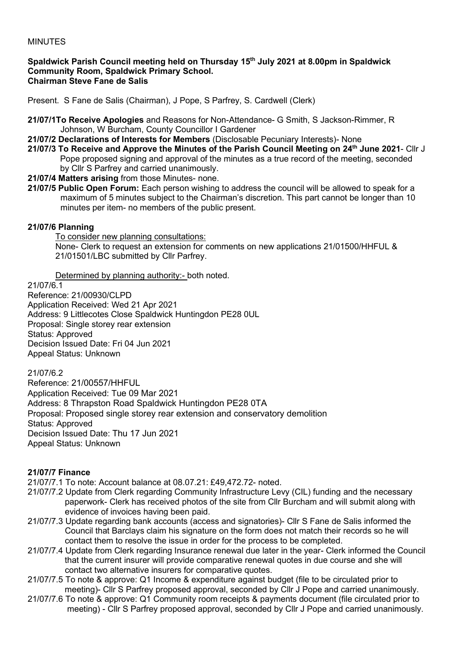## MINUTES

#### **Spaldwick Parish Council meeting held on Thursday 15th July 2021 at 8.00pm in Spaldwick Community Room, Spaldwick Primary School. Chairman Steve Fane de Salis**

Present. S Fane de Salis (Chairman), J Pope, S Parfrey, S. Cardwell (Clerk)

- **21/07/1To Receive Apologies** and Reasons for Non-Attendance- G Smith, S Jackson-Rimmer, R Johnson, W Burcham, County Councillor I Gardener
- **21/07/2 Declarations of Interests for Members** (Disclosable Pecuniary Interests)- None
- **21/07/3 To Receive and Approve the Minutes of the Parish Council Meeting on 24th June 2021** Cllr J Pope proposed signing and approval of the minutes as a true record of the meeting, seconded by Cllr S Parfrey and carried unanimously.
- **21/07/4 Matters arising** from those Minutes- none.
- **21/07/5 Public Open Forum:** Each person wishing to address the council will be allowed to speak for a maximum of 5 minutes subject to the Chairman's discretion. This part cannot be longer than 10 minutes per item- no members of the public present.

#### **21/07/6 Planning**

To consider new planning consultations:

None- Clerk to request an extension for comments on new applications 21/01500/HHFUL & 21/01501/LBC submitted by Cllr Parfrey.

Determined by planning authority:- both noted.

21/07/6.1 Reference: 21/00930/CLPD Application Received: Wed 21 Apr 2021 Address: 9 Littlecotes Close Spaldwick Huntingdon PE28 0UL Proposal: Single storey rear extension Status: Approved Decision Issued Date: Fri 04 Jun 2021 Appeal Status: Unknown

21/07/6.2

Reference: 21/00557/HHFUL Application Received: Tue 09 Mar 2021 Address: 8 Thrapston Road Spaldwick Huntingdon PE28 0TA Proposal: Proposed single storey rear extension and conservatory demolition Status: Approved Decision Issued Date: Thu 17 Jun 2021 Appeal Status: Unknown

## **21/07/7 Finance**

21/07/7.1 To note: Account balance at 08.07.21: £49,472.72- noted.

- 21/07/7.2 Update from Clerk regarding Community Infrastructure Levy (CIL) funding and the necessary paperwork- Clerk has received photos of the site from Cllr Burcham and will submit along with evidence of invoices having been paid.
- 21/07/7.3 Update regarding bank accounts (access and signatories)- Cllr S Fane de Salis informed the Council that Barclays claim his signature on the form does not match their records so he will contact them to resolve the issue in order for the process to be completed.
- 21/07/7.4 Update from Clerk regarding Insurance renewal due later in the year- Clerk informed the Council that the current insurer will provide comparative renewal quotes in due course and she will contact two alternative insurers for comparative quotes.
- 21/07/7.5 To note & approve: Q1 Income & expenditure against budget (file to be circulated prior to meeting)- Cllr S Parfrey proposed approval, seconded by Cllr J Pope and carried unanimously.
- 21/07/7.6 To note & approve: Q1 Community room receipts & payments document (file circulated prior to meeting) - Cllr S Parfrey proposed approval, seconded by Cllr J Pope and carried unanimously.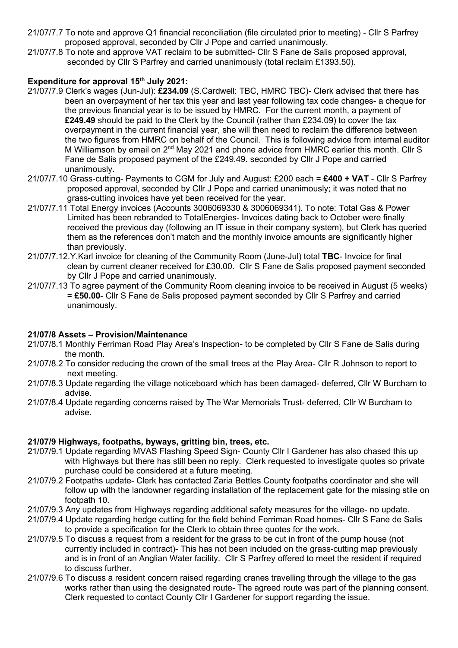- 21/07/7.7 To note and approve Q1 financial reconciliation (file circulated prior to meeting) Cllr S Parfrey proposed approval, seconded by Cllr J Pope and carried unanimously.
- 21/07/7.8 To note and approve VAT reclaim to be submitted- Cllr S Fane de Salis proposed approval, seconded by Cllr S Parfrey and carried unanimously (total reclaim £1393.50).

## **Expenditure for approval 15th July 2021:**

- 21/07/7.9 Clerk's wages (Jun-Jul): **£234.09** (S.Cardwell: TBC, HMRC TBC)- Clerk advised that there has been an overpayment of her tax this year and last year following tax code changes- a cheque for the previous financial year is to be issued by HMRC. For the current month, a payment of **£249.49** should be paid to the Clerk by the Council (rather than £234.09) to cover the tax overpayment in the current financial year, she will then need to reclaim the difference between the two figures from HMRC on behalf of the Council. This is following advice from internal auditor M Williamson by email on 2<sup>nd</sup> May 2021 and phone advice from HMRC earlier this month. Cllr S Fane de Salis proposed payment of the £249.49. seconded by Cllr J Pope and carried unanimously.
- 21/07/7.10 Grass-cutting- Payments to CGM for July and August: £200 each = **£400 + VAT** Cllr S Parfrey proposed approval, seconded by Cllr J Pope and carried unanimously; it was noted that no grass-cutting invoices have yet been received for the year.
- 21/07/7.11 Total Energy invoices (Accounts 3006069330 & 3006069341). To note: Total Gas & Power Limited has been rebranded to TotalEnergies- Invoices dating back to October were finally received the previous day (following an IT issue in their company system), but Clerk has queried them as the references don't match and the monthly invoice amounts are significantly higher than previously.
- 21/07/7.12.Y.Karl invoice for cleaning of the Community Room (June-Jul) total **TBC** Invoice for final clean by current cleaner received for £30.00. Cllr S Fane de Salis proposed payment seconded by Cllr J Pope and carried unanimously.
- 21/07/7.13 To agree payment of the Community Room cleaning invoice to be received in August (5 weeks) = **£50.00**- Cllr S Fane de Salis proposed payment seconded by Cllr S Parfrey and carried unanimously.

# **21/07/8 Assets – Provision/Maintenance**

- 21/07/8.1 Monthly Ferriman Road Play Area's Inspection- to be completed by Cllr S Fane de Salis during the month.
- 21/07/8.2 To consider reducing the crown of the small trees at the Play Area- Cllr R Johnson to report to next meeting.
- 21/07/8.3 Update regarding the village noticeboard which has been damaged- deferred, Cllr W Burcham to advise.
- 21/07/8.4 Update regarding concerns raised by The War Memorials Trust- deferred, Cllr W Burcham to advise.

## **21/07/9 Highways, footpaths, byways, gritting bin, trees, etc.**

- 21/07/9.1 Update regarding MVAS Flashing Speed Sign- County Cllr I Gardener has also chased this up with Highways but there has still been no reply. Clerk requested to investigate quotes so private purchase could be considered at a future meeting.
- 21/07/9.2 Footpaths update- Clerk has contacted Zaria Bettles County footpaths coordinator and she will follow up with the landowner regarding installation of the replacement gate for the missing stile on footpath 10.
- 21/07/9.3 Any updates from Highways regarding additional safety measures for the village- no update.
- 21/07/9.4 Update regarding hedge cutting for the field behind Ferriman Road homes- Cllr S Fane de Salis to provide a specification for the Clerk to obtain three quotes for the work.
- 21/07/9.5 To discuss a request from a resident for the grass to be cut in front of the pump house (not currently included in contract)- This has not been included on the grass-cutting map previously and is in front of an Anglian Water facility. Cllr S Parfrey offered to meet the resident if required to discuss further.
- 21/07/9.6 To discuss a resident concern raised regarding cranes travelling through the village to the gas works rather than using the designated route- The agreed route was part of the planning consent. Clerk requested to contact County Cllr I Gardener for support regarding the issue.